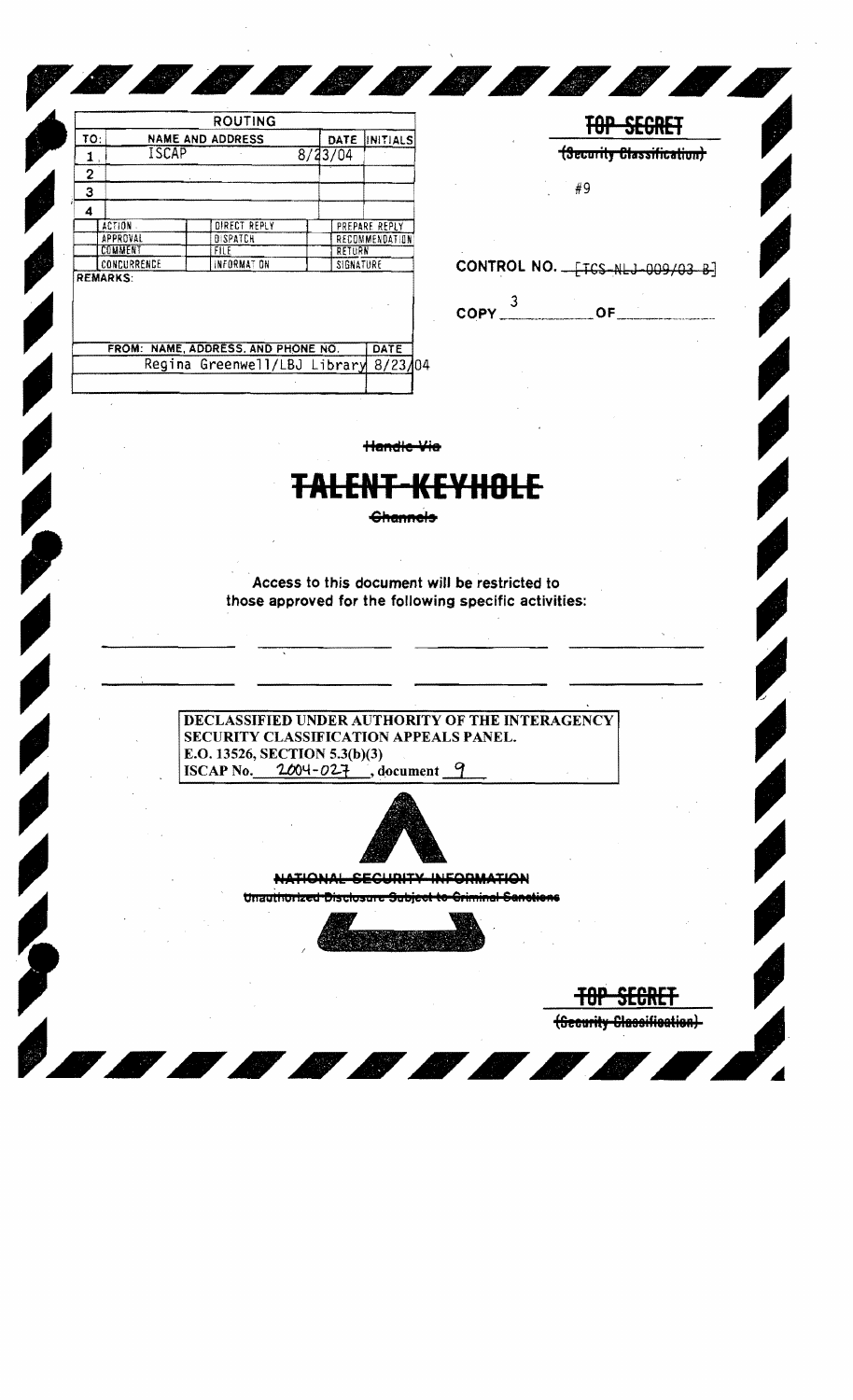| ISCAP<br>8/33/04<br>1,<br>2<br>З<br>4<br>DIRECT REPLY<br>ACTION .<br>PREPARE REPLY<br>APPROVAL<br><b>DISPATCH</b><br>RECOMMENDATION<br>COMMENT<br>FILE<br>RETURN<br>CONCURRENCE<br>INFORMAT ON<br>SIGNATURE<br><b>REMARKS:</b> |  | DATE | INITIALS |
|--------------------------------------------------------------------------------------------------------------------------------------------------------------------------------------------------------------------------------|--|------|----------|
|                                                                                                                                                                                                                                |  |      |          |
|                                                                                                                                                                                                                                |  |      |          |
|                                                                                                                                                                                                                                |  |      |          |
|                                                                                                                                                                                                                                |  |      |          |
|                                                                                                                                                                                                                                |  |      |          |
|                                                                                                                                                                                                                                |  |      |          |
|                                                                                                                                                                                                                                |  |      |          |
|                                                                                                                                                                                                                                |  |      |          |
|                                                                                                                                                                                                                                |  |      |          |

|                     | CONTROL NO. __ [TCS-NLJ-009/03 B] |
|---------------------|-----------------------------------|
| $COPY$ <sup>3</sup> | OF.                               |

**TOP SECRET** (Security Classification)

#9

TOP SEGRET (Security Classification)

**ANDRO** 

Handle Via

**BOOD** 

## E<del>NT-KEYHOLE</del>

**Channels** 

Access to this document will be restricted to those approved for the following specific activities:

## DECLASSIFIED UNDER AUTHORITY OF THE INTERAGENCY SECURITY CLASSIFICATION APPEALS PANEL. E.O. 13526, SECTION 5.3(b)(3)  $2004 - 027$ , document 9 **ISCAP No.**



NATIONAL SECURITY INFORMATION

Unauthorized Disclosure Subject to Criminal Sanctions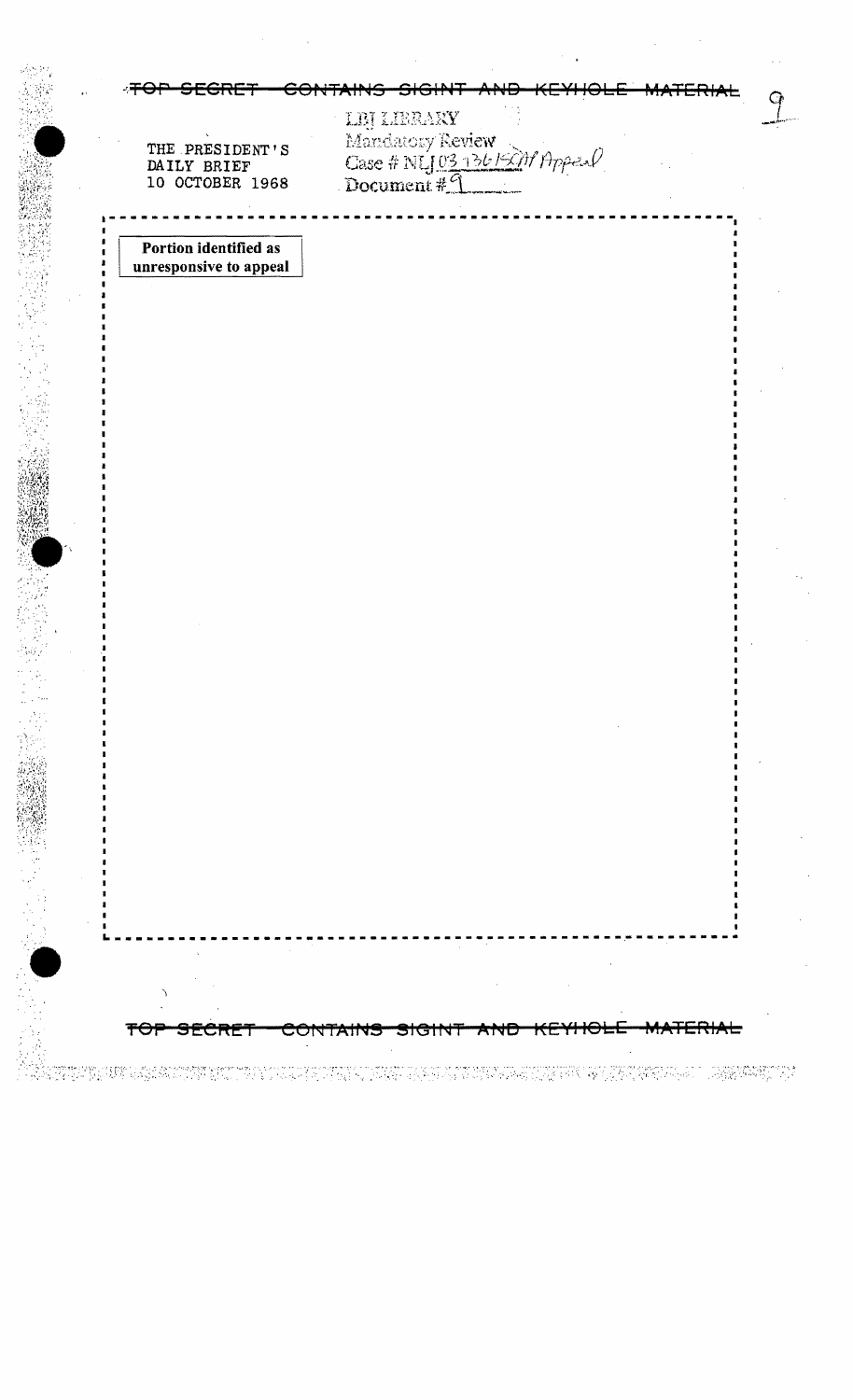|                                                   | LEJ LIBRAXY                                       |  |
|---------------------------------------------------|---------------------------------------------------|--|
| THE PRESIDENT'S<br>DAILY BRIEF<br>10 OCTOBER 1968 | Mandatory Review<br>Case # NLJ 03 136/2011 Appeal |  |
|                                                   |                                                   |  |
| Portion identified as<br>unresponsive to appeal   |                                                   |  |
|                                                   |                                                   |  |
|                                                   |                                                   |  |
|                                                   |                                                   |  |
|                                                   |                                                   |  |
|                                                   |                                                   |  |
|                                                   |                                                   |  |
|                                                   |                                                   |  |
|                                                   |                                                   |  |
|                                                   |                                                   |  |
|                                                   |                                                   |  |
|                                                   |                                                   |  |
|                                                   |                                                   |  |
|                                                   |                                                   |  |
|                                                   |                                                   |  |
|                                                   |                                                   |  |
|                                                   |                                                   |  |
|                                                   |                                                   |  |
|                                                   |                                                   |  |
|                                                   |                                                   |  |
|                                                   |                                                   |  |
|                                                   |                                                   |  |
|                                                   |                                                   |  |
|                                                   |                                                   |  |
|                                                   |                                                   |  |
| <del>ᡏᡃᢕ</del> ᢪ<br>SECRET                        | CONTAINS SIGINT AND KEYHOLE                       |  |

 $\ddot{\phantom{a}}$ 

 $\hat{\boldsymbol{\beta}}$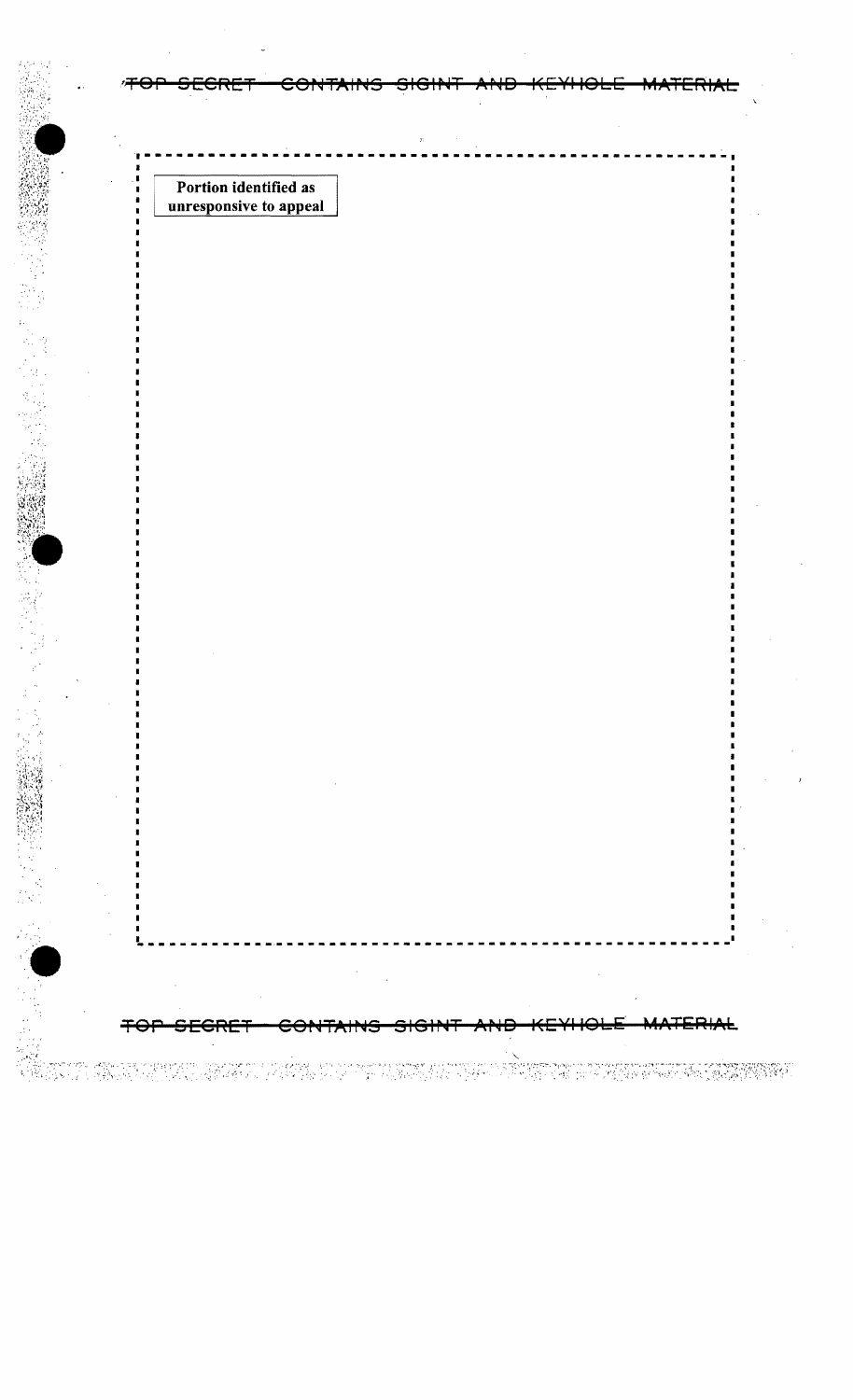Portion identified as unresponsive to appeal

19 Angeles van die geskie van die verskap van die sy gevolge van die volgelijke sy van die gespront gestiege v<br>Die volgelijke van die geskieden betref, was die volgelijke kan die volgelijke van die soos gestiede van die v

 $\hat{\mathbf{y}}$ 

<del>SECRE'</del>

**KEXHOFE** TERIAL ₩ <del>SECRET</del> ₩ ee ٣ ڪ

TE TA PASSA DE LA TRAVA DE PROPERT DE LA PARA

┍╈═